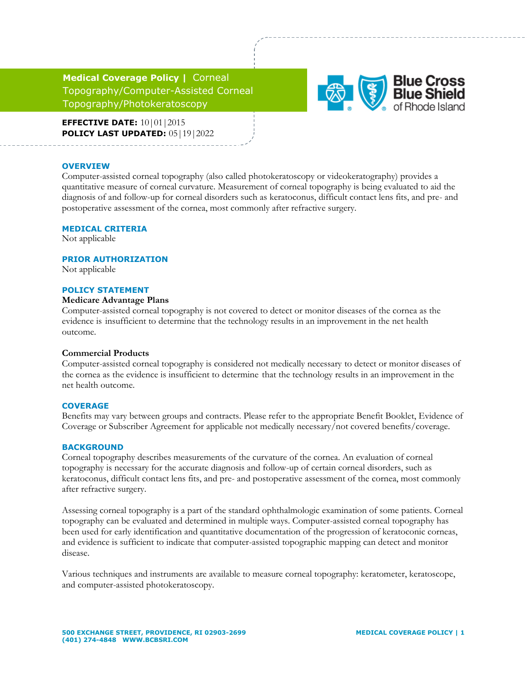**Medical Coverage Policy |** Corneal Topography/Computer-Assisted Corneal Topography/Photokeratoscopy



**EFFECTIVE DATE:** 10 | 01 | 2015 **POLICY LAST UPDATED:** 05|19|2022

#### **OVERVIEW**

Computer-assisted corneal topography (also called photokeratoscopy or videokeratography) provides a quantitative measure of corneal curvature. Measurement of corneal topography is being evaluated to aid the diagnosis of and follow-up for corneal disorders such as keratoconus, difficult contact lens fits, and pre- and postoperative assessment of the cornea, most commonly after refractive surgery.

#### **MEDICAL CRITERIA**

Not applicable

### **PRIOR AUTHORIZATION**

Not applicable

### **POLICY STATEMENT**

### **Medicare Advantage Plans**

Computer-assisted corneal topography is not covered to detect or monitor diseases of the cornea as the evidence is insufficient to determine that the technology results in an improvement in the net health outcome.

# **Commercial Products**

Computer-assisted corneal topography is considered not medically necessary to detect or monitor diseases of the cornea as the evidence is insufficient to determine that the technology results in an improvement in the net health outcome.

### **COVERAGE**

Benefits may vary between groups and contracts. Please refer to the appropriate Benefit Booklet, Evidence of Coverage or Subscriber Agreement for applicable not medically necessary/not covered benefits/coverage.

### **BACKGROUND**

Corneal topography describes measurements of the curvature of the cornea. An evaluation of corneal topography is necessary for the accurate diagnosis and follow-up of certain corneal disorders, such as keratoconus, difficult contact lens fits, and pre- and postoperative assessment of the cornea, most commonly after refractive surgery.

Assessing corneal topography is a part of the standard ophthalmologic examination of some patients. Corneal topography can be evaluated and determined in multiple ways. Computer-assisted corneal topography has been used for early identification and quantitative documentation of the progression of keratoconic corneas, and evidence is sufficient to indicate that computer-assisted topographic mapping can detect and monitor disease.

Various techniques and instruments are available to measure corneal topography: keratometer, keratoscope, and computer-assisted photokeratoscopy.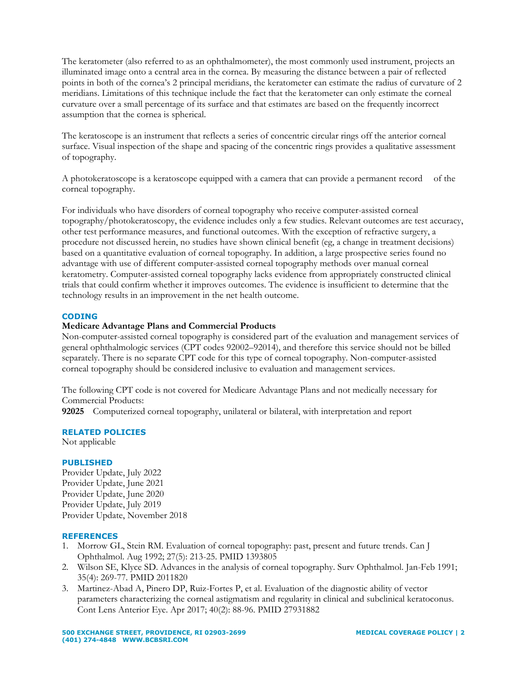The keratometer (also referred to as an ophthalmometer), the most commonly used instrument, projects an illuminated image onto a central area in the cornea. By measuring the distance between a pair of reflected points in both of the cornea's 2 principal meridians, the keratometer can estimate the radius of curvature of 2 meridians. Limitations of this technique include the fact that the keratometer can only estimate the corneal curvature over a small percentage of its surface and that estimates are based on the frequently incorrect assumption that the cornea is spherical.

The keratoscope is an instrument that reflects a series of concentric circular rings off the anterior corneal surface. Visual inspection of the shape and spacing of the concentric rings provides a qualitative assessment of topography.

A photokeratoscope is a keratoscope equipped with a camera that can provide a permanent record of the corneal topography.

For individuals who have disorders of corneal topography who receive computer-assisted corneal topography/photokeratoscopy, the evidence includes only a few studies. Relevant outcomes are test accuracy, other test performance measures, and functional outcomes. With the exception of refractive surgery, a procedure not discussed herein, no studies have shown clinical benefit (eg, a change in treatment decisions) based on a quantitative evaluation of corneal topography. In addition, a large prospective series found no advantage with use of different computer-assisted corneal topography methods over manual corneal keratometry. Computer-assisted corneal topography lacks evidence from appropriately constructed clinical trials that could confirm whether it improves outcomes. The evidence is insufficient to determine that the technology results in an improvement in the net health outcome.

# **CODING**

# **Medicare Advantage Plans and Commercial Products**

Non-computer-assisted corneal topography is considered part of the evaluation and management services of general ophthalmologic services (CPT codes 92002–92014), and therefore this service should not be billed separately. There is no separate CPT code for this type of corneal topography. Non-computer-assisted corneal topography should be considered inclusive to evaluation and management services.

The following CPT code is not covered for Medicare Advantage Plans and not medically necessary for Commercial Products:

**92025** Computerized corneal topography, unilateral or bilateral, with interpretation and report

# **RELATED POLICIES**

Not applicable

# **PUBLISHED**

Provider Update, July 2022 Provider Update, June 2021 Provider Update, June 2020 Provider Update, July 2019 Provider Update, November 2018

# **REFERENCES**

- 1. Morrow GL, Stein RM. Evaluation of corneal topography: past, present and future trends. Can J Ophthalmol. Aug 1992; 27(5): 213-25. PMID 1393805
- 2. Wilson SE, Klyce SD. Advances in the analysis of corneal topography. Surv Ophthalmol. Jan-Feb 1991; 35(4): 269-77. PMID 2011820
- 3. Martinez-Abad A, Pinero DP, Ruiz-Fortes P, et al. Evaluation of the diagnostic ability of vector parameters characterizing the corneal astigmatism and regularity in clinical and subclinical keratoconus. Cont Lens Anterior Eye. Apr 2017; 40(2): 88-96. PMID 27931882